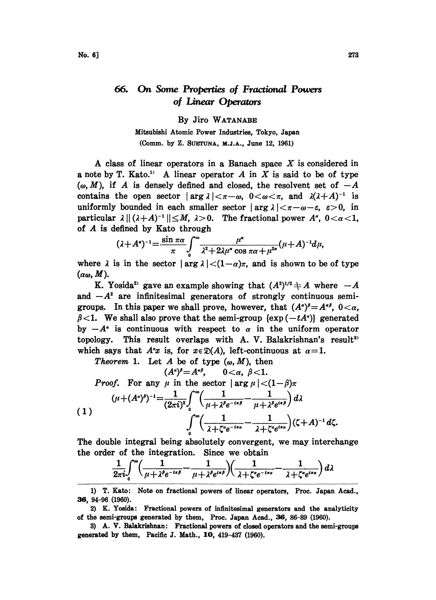## 66. On Some Properties of Fractional Powers of Linear Operators

## By Jiro WATANABE

Mitsubishi Atomic Power Industries, Tokyo, Japan (Comm. by Z. SUgrUNA, M.J.A., June 12, 1961)

A class of linear operators in a Banach space  $X$  is considered in a note by T. Kato.<sup>1</sup> A linear operator A in X is said to be of type  $(\omega, M)$ , if A is densely defined and closed, the resolvent set of  $-A$ contains the open sector  $|\arg \lambda| < \pi - \omega$ ,  $0 < \omega < \pi$ , and  $\lambda(\lambda + A)^{-1}$  is contains the open sector  $|\arg \lambda| < \pi - \omega$ ,  $0 < \omega < \pi$ , and  $\lambda(\lambda + A)^{-1}$  is uniformly bounded in each smaller sector  $|\arg \lambda| < \pi - \omega - \varepsilon$ ,  $\varepsilon > 0$ , in particular  $\lambda || (\lambda + A)^{-1} || \leq M$ ,  $\lambda > 0$ . The fractional power  $A^{\alpha}$ ,  $0 < \alpha < 1$ , of A is defined by Kato through

of A is defined by Kato through  
\n
$$
(\lambda + A^{\alpha})^{-1} = \frac{\sin \pi \alpha}{\pi} \int_{0}^{\infty} \frac{\mu^{\alpha}}{\lambda^2 + 2\lambda \mu^{\alpha} \cos \pi \alpha + \mu^{2\alpha}} (\mu + A)^{-1} d\mu,
$$

where  $\lambda$  is in the sector  $|\arg \lambda| < (1-\alpha)\pi$ , and is shown to be of type  $(\alpha\omega, M)$ .

K. Yosida<sup>2</sup> gave an example showing that  $(A^2)^{1/2} \neq A$  where  $-A$ and  $-A^2$  are infinitesimal generators of strongly continuous semigroups. In this paper we shall prove, however, that  $(A^{\alpha})^{\beta} = A^{\alpha\beta}$ ,  $0 < \alpha$ ,  $\beta$ <1. We shall also prove that the semi-group {exp (-tA<sup>a</sup>)} generated by  $-A^{\alpha}$  is continuous with respect to  $\alpha$  in the uniform operator topology. This result overlaps with A. V. Balakrishnan's result<sup>3</sup> which says that  $A^{\alpha}x$  is, for  $x \in \mathcal{D}(A)$ , left-continuous at  $\alpha=1$ .

Theorem 1. Let A be of type  $(\omega, M)$ , then  $(A^{\alpha})^{\beta} = A^{\alpha\beta}, \qquad 0 < \alpha, \; \beta < 1.$ *Proof.* For any  $\mu$  in the sector  $|\arg \mu| < (1-\beta)\pi$  $(\mu + (A^a)^{\beta})^{-1} = \frac{1}{(2\pi i)^2} \int_0^{\infty} \left( \frac{1}{\mu + \lambda^{\beta} e^{-i\pi \beta}} - \frac{1}{\mu + \lambda^{\beta} e^{i\pi \beta}} \right) d\lambda$ (1)  $\int_{0}^{\infty} \left( \frac{1}{\lambda + \zeta^{a} e^{-i\pi a}} - \frac{1}{\lambda + \zeta^{a} e^{i\pi a}} \right) (\zeta + A)^{-1} d\zeta.$ 

The double integral being absolutely convergent, we may interchange the order of the integration. Since we obtain

$$
\frac{1}{2\pi i} \int_0^{\infty} \left( \frac{1}{\mu + \lambda^{\beta} e^{-i\pi \beta}} - \frac{1}{\mu + \lambda^{\beta} e^{i\pi \beta}} \right) \left( \frac{1}{\lambda + \zeta^{\alpha} e^{-i\pi \alpha}} - \frac{1}{\lambda + \zeta^{\alpha} e^{i\pi \alpha}} \right) d\lambda
$$

1) T. Kato: Note on fractional powers of linear operators, Proc. Japan Acad., 36, 94-96 (1960).

2) K. Yosida: Fractional powers of infinitesimal generators and the analyticity of the semi-groups generated by them, Proc. Japan Acad., 36, 86-89 (1960).

3) A. V. Balakrishnan: Fractional powers of closed operators and the semi-groups generated by them, Pacific J. Math., 10, 419-437 (1960).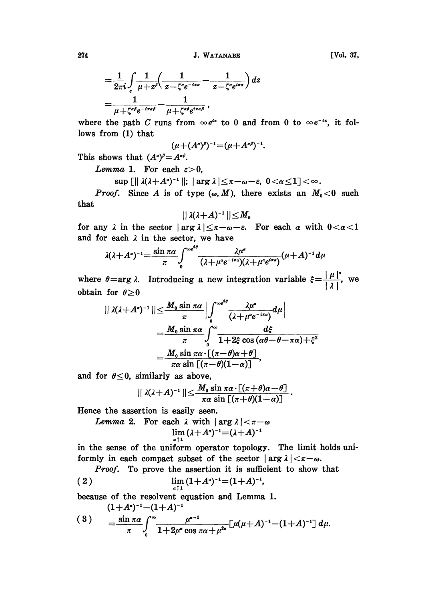$$
=\frac{1}{2\pi i}\int\limits_c\frac{1}{\mu+z^{\beta}}\left(\frac{1}{z-\zeta^{\alpha}e^{-i\pi\alpha}}-\frac{1}{z-\zeta^{\alpha}e^{i\pi\alpha}}\right)dz
$$
  
=\frac{1}{\mu+\zeta^{\alpha\beta}e^{-i\pi\alpha\beta}}-\frac{1}{\mu+\zeta^{\alpha\beta}e^{i\pi\alpha\beta}} ,

where the path C runs from  $\infty e^{ix}$  to 0 and from 0 to  $\infty e^{-ix}$ , it follows from  $(1)$  that

$$
(\mu+(A^{\alpha})^{\beta})^{-1}=(\mu+A^{\alpha\beta})^{-1}.
$$

This shows that  $(A^{\alpha})^{\beta} = A^{\alpha \beta}$ .

Lemma 1. For each  $\varepsilon > 0$ ,

 $\sup$  [||  $\lambda(\lambda + A^{\alpha})^{-1}$ ||; |  $\arg \lambda$ | $\leq \pi - \omega - \varepsilon$ ,  $0 < \alpha \leq 1$ ] $< \infty$ .

*Proof.* Since A is of type  $(\omega, M)$ , there exists an  $M_0 < 0$  such that

$$
||\lambda(\lambda+A)^{-1}||\leq M_0
$$

for any  $\lambda$  in the sector  $|\arg \lambda| \leq \pi - \omega - \varepsilon$ . For each  $\alpha$  with  $0 < \alpha < 1$ and for each  $\lambda$  in the sector, we have

$$
\lambda(\lambda+A^*)^{-1}=\frac{\sin\pi\alpha}{\pi}\int_0^{\infty e^{4\theta}}\frac{\lambda\mu^{\alpha}}{(\lambda+\mu^{\alpha}e^{-i\pi\alpha})(\lambda+\mu^{\alpha}e^{i\pi\alpha})}(\mu+A)^{-1}d\mu
$$

where  $\theta = \arg \lambda$ . Introducing a new integration variable  $\xi = \frac{|\mu|^{\alpha}}{|\lambda|}$ , we obtain for  $\theta \ge 0$ 

$$
\begin{split} \|\lambda(\lambda+A^{\alpha})^{-1}\|&\leq \frac{M_{0}\sin\pi\alpha}{\pi}\left|\int_{0}^{\infty^{d}}\frac{\lambda\mu^{\alpha}}{(\lambda+\mu^{\alpha}e^{-i\pi\alpha})}d\mu\right|\\ &=\frac{M_{0}\sin\pi\alpha}{\pi}\int_{0}^{\infty}\frac{d\xi}{1+2\xi\cos\left(\alpha\theta-\theta-\pi\alpha\right)+\xi^{2}}\\ &=\frac{M_{0}\sin\pi\alpha\cdot\left[(\pi-\theta)(1-\alpha)\right]}{\pi\alpha\sin\left[(\pi-\theta)(1-\alpha)\right]}, \end{split}
$$

and for  $\theta \leq 0$ , similarly as above,

$$
\mid \mid \lambda(\lambda+A)^{-1} \mid \mid \leq \frac{M_0 \sin \pi \alpha \cdot [(\pi+\theta)\alpha-\theta]}{\pi \alpha \sin [(\pi+\theta)(1-\alpha)]}.
$$

Hence the assertion is easily seen.

Lemma 2. For each 
$$
\lambda
$$
 with  $|\arg \lambda| < \pi - \omega$ \n $\lim_{\alpha \uparrow 1} (\lambda + A^{\alpha})^{-1} = (\lambda + A)^{-1}$ 

in the sense of the uniform operator topology. The limit holds uniformly in each compact subset of the sector  $|arg \lambda| < \pi - \omega$ .

*Proof.* To prove the assertion it is sufficient to show that

$$
(2) \qquad \lim_{a\uparrow 1} (1+A^a)^{-1} = (1+A)^{-1},
$$

because of the resolvent equation and Lemma 1.

 $(1+A^{\alpha})^{-1}-(1+A)^{-1}$ 

$$
(3) = \frac{\sin \pi \alpha}{\pi} \int_{0}^{\infty} \frac{\mu^{\alpha-1}}{1+2\mu^{\alpha}\cos \pi \alpha + \mu^{2\alpha}} \left[ \mu(\mu+A)^{-1} - (1+A)^{-1} \right] d\mu.
$$

274